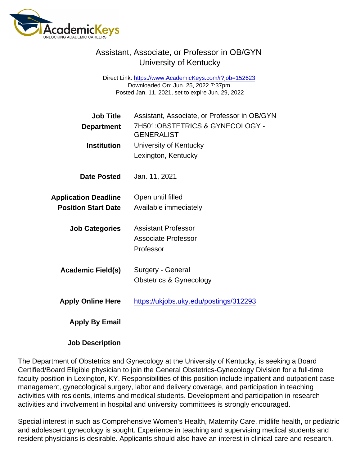## Assistant, Associate, or Professor in OB/GYN University of Kentucky

Direct Link: <https://www.AcademicKeys.com/r?job=152623> Downloaded On: Jun. 25, 2022 7:37pm Posted Jan. 11, 2021, set to expire Jun. 29, 2022

| <b>Job Title</b>            | Assistant, Associate, or Professor in OB/GYN         |
|-----------------------------|------------------------------------------------------|
| Department                  | 7H501:OBSTETRICS & GYNECOLOGY -<br><b>GENERALIST</b> |
| Institution                 | University of Kentucky                               |
|                             | Lexington, Kentucky                                  |
| Date Posted                 | Jan. 11, 2021                                        |
| <b>Application Deadline</b> | Open until filled                                    |
| <b>Position Start Date</b>  | Available immediately                                |
| <b>Job Categories</b>       | <b>Assistant Professor</b>                           |
|                             | <b>Associate Professor</b>                           |
|                             | Professor                                            |
| Academic Field(s)           | Surgery - General                                    |
|                             | <b>Obstetrics &amp; Gynecology</b>                   |
| <b>Apply Online Here</b>    | https://ukjobs.uky.edu/postings/312293               |
| Apply By Email              |                                                      |

Job Description

The Department of Obstetrics and Gynecology at the University of Kentucky, is seeking a Board Certified/Board Eligible physician to join the General Obstetrics-Gynecology Division for a full-time faculty position in Lexington, KY. Responsibilities of this position include inpatient and outpatient case management, gynecological surgery, labor and delivery coverage, and participation in teaching activities with residents, interns and medical students. Development and participation in research activities and involvement in hospital and university committees is strongly encouraged.

Special interest in such as Comprehensive Women's Health, Maternity Care, midlife health, or pediatric and adolescent gynecology is sought. Experience in teaching and supervising medical students and resident physicians is desirable. Applicants should also have an interest in clinical care and research.